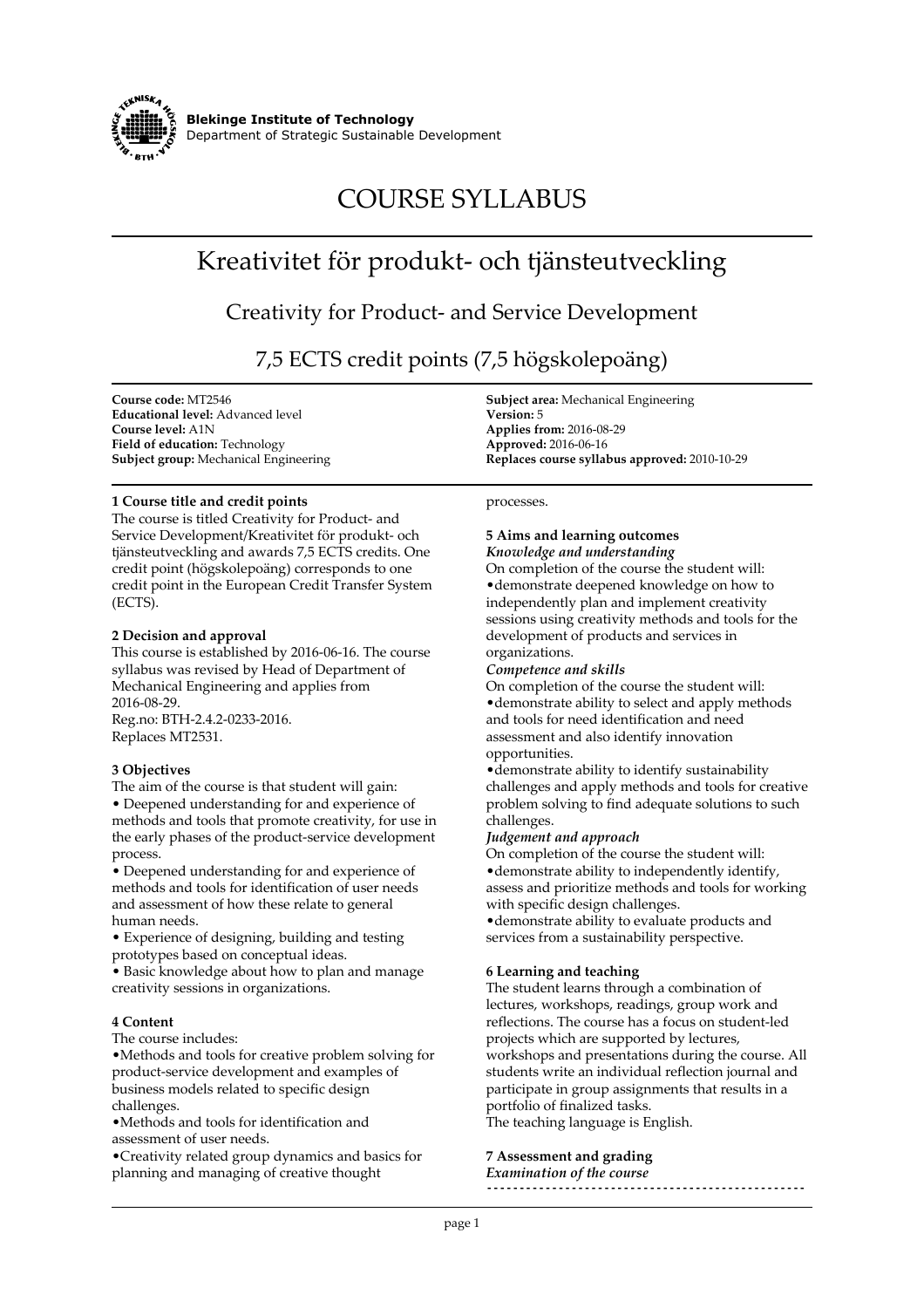

# **COURSE SYLLABUS**

# **Kreativitet för produkt- och tjänsteutveckling**

**Creativity for Product- and Service Development**

**7,5 ECTS credit points (7,5 högskolepoäng)**

**Course code: MT2546 Educational level: Advanced level Course level: A1N Field of education: Technology Subject group: Mechanical Engineering**

#### **1 Course title and credit points**

**The course is titled Creativity for Product- and Service Development/Kreativitet för produkt- och tjänsteutveckling and awards 7,5 ECTS credits. One credit point (högskolepoäng) corresponds to one credit point in the European Credit Transfer System (ECTS).**

#### **2 Decision and approval**

**This course is established by 2016-06-16. The course syllabus was revised by Head of Department of Mechanical Engineering and applies from 2016-08-29. Reg.no: BTH-2.4.2-0233-2016. Replaces MT2531.**

## **3 Objectives**

**The aim of the course is that student will gain: • Deepened understanding for and experience of methods and tools that promote creativity, for use in the early phases of the product-service development process.**

**• Deepened understanding for and experience of methods and tools for identification of user needs and assessment of how these relate to general human needs.**

**• Experience of designing, building and testing prototypes based on conceptual ideas.**

**• Basic knowledge about how to plan and manage creativity sessions in organizations.**

## **4 Content**

**The course includes:**

**•Methods and tools for creative problem solving for product-service development and examples of business models related to specific design challenges.**

**•Methods and tools for identification and assessment of user needs.**

**•Creativity related group dynamics and basics for planning and managing of creative thought**

**Subject area: Mechanical Engineering Version: 5 Applies from: 2016-08-29 Approved: 2016-06-16 Replaces course syllabus approved: 2010-10-29**

**processes.**

#### **5 Aims and learning outcomes** *Knowledge and understanding*

**On completion of the course the student will: •demonstrate deepened knowledge on how to independently plan and implement creativity sessions using creativity methods and tools for the development of products and services in organizations.**

#### *Competence and skills*

**On completion of the course the student will: •demonstrate ability to select and apply methods and tools for need identification and need assessment and also identify innovation opportunities.**

**•demonstrate ability to identify sustainability challenges and apply methods and tools for creative problem solving to find adequate solutions to such challenges.**

## *Judgement and approach*

**On completion of the course the student will: •demonstrate ability to independently identify, assess and prioritize methods and tools for working with specific design challenges.**

**•demonstrate ability to evaluate products and services from a sustainability perspective.**

## **6 Learning and teaching**

**The student learns through a combination of lectures, workshops, readings, group work and reflections. The course has a focus on student-led projects which are supported by lectures, workshops and presentations during the course. All students write an individual reflection journal and participate in group assignments that results in a portfolio of finalized tasks.**

**The teaching language is English.**

## **7 Assessment and grading**

*Examination of the course* **-------------------------------------------------**